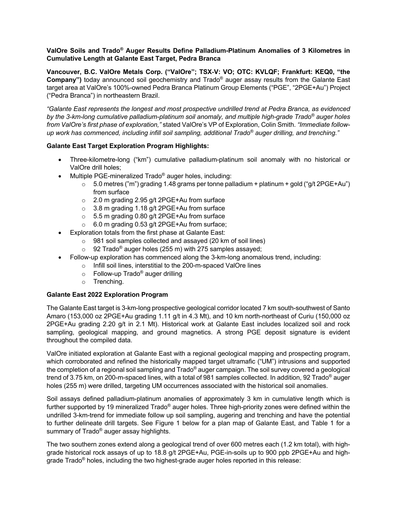## **ValOre Soils and Trado® Auger Results Define Palladium-Platinum Anomalies of 3 Kilometres in Cumulative Length at Galante East Target, Pedra Branca**

**Vancouver, B.C. ValOre Metals Corp. ("ValOre"; TSX**-**V: VO; OTC: KVLQF; Frankfurt: KEQ0, "the Company")** today announced soil geochemistry and Trado® auger assay results from the Galante East target area at ValOre's 100%-owned Pedra Branca Platinum Group Elements ("PGE", "2PGE+Au") Project ("Pedra Branca") in northeastern Brazil.

*"Galante East represents the longest and most prospective undrilled trend at Pedra Branca, as evidenced by the 3-km-long cumulative palladium-platinum soil anomaly, and multiple high-grade Trado® auger holes from ValOre's first phase of exploration,"* stated ValOre's VP of Exploration, Colin Smith. *"Immediate followup work has commenced, including infill soil sampling, additional Trado® auger drilling, and trenching."*

# **Galante East Target Exploration Program Highlights:**

- Three-kilometre-long ("km") cumulative palladium-platinum soil anomaly with no historical or ValOre drill holes;
- Multiple PGE-mineralized Trado<sup>®</sup> auger holes, including:
	- $\circ$  5.0 metres ("m") grading 1.48 grams per tonne palladium + platinum + gold ("g/t 2PGE+Au") from surface
	- o 2.0 m grading 2.95 g/t 2PGE+Au from surface
	- o 3.8 m grading 1.18 g/t 2PGE+Au from surface
	- o 5.5 m grading 0.80 g/t 2PGE+Au from surface
	- o 6.0 m grading 0.53 g/t 2PGE+Au from surface;
- Exploration totals from the first phase at Galante East:
	- o 981 soil samples collected and assayed (20 km of soil lines)
	- $\circ$  92 Trado<sup>®</sup> auger holes (255 m) with 275 samples assayed;
- Follow-up exploration has commenced along the 3-km-long anomalous trend, including:
	- o Infill soil lines, interstitial to the 200-m-spaced ValOre lines
		- $\circ$  Follow-up Trado<sup>®</sup> auger drilling
		- o Trenching.

# **Galante East 2022 Exploration Program**

The Galante East target is 3-km-long prospective geological corridor located 7 km south-southwest of Santo Amaro (153,000 oz 2PGE+Au grading 1.11 g/t in 4.3 Mt), and 10 km north-northeast of Curiu (150,000 oz 2PGE+Au grading 2.20 g/t in 2.1 Mt). Historical work at Galante East includes localized soil and rock sampling, geological mapping, and ground magnetics. A strong PGE deposit signature is evident throughout the compiled data.

ValOre initiated exploration at Galante East with a regional geological mapping and prospecting program, which corroborated and refined the historically mapped target ultramafic ("UM") intrusions and supported the completion of a regional soil sampling and Trado<sup>®</sup> auger campaign. The soil survey covered a geological trend of 3.75 km, on 200-m-spaced lines, with a total of 981 samples collected. In addition, 92 Trado® auger holes (255 m) were drilled, targeting UM occurrences associated with the historical soil anomalies.

Soil assays defined palladium-platinum anomalies of approximately 3 km in cumulative length which is further supported by 19 mineralized Trado® auger holes. Three high-priority zones were defined within the undrilled 3-km-trend for immediate follow up soil sampling, augering and trenching and have the potential to further delineate drill targets. See Figure 1 below for a plan map of Galante East, and Table 1 for a summary of Trado<sup>®</sup> auger assay highlights.

The two southern zones extend along a geological trend of over 600 metres each (1.2 km total), with highgrade historical rock assays of up to 18.8 g/t 2PGE+Au, PGE-in-soils up to 900 ppb 2PGE+Au and highgrade Trado<sup>®</sup> holes, including the two highest-grade auger holes reported in this release: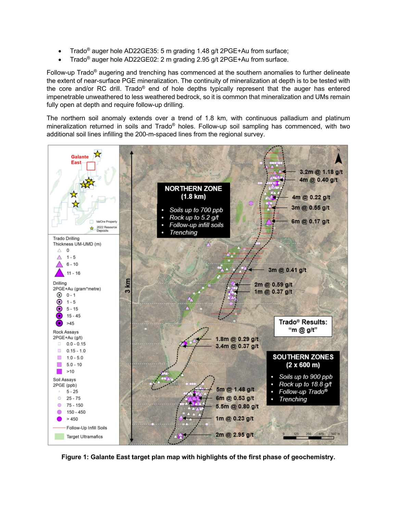- Trado® auger hole AD22GE35: 5 m grading 1.48 g/t 2PGE+Au from surface;
- Trado® auger hole AD22GE02: 2 m grading 2.95 g/t 2PGE+Au from surface.

Follow-up Trado® augering and trenching has commenced at the southern anomalies to further delineate the extent of near-surface PGE mineralization. The continuity of mineralization at depth is to be tested with the core and/or RC drill. Trado® end of hole depths typically represent that the auger has entered impenetrable unweathered to less weathered bedrock, so it is common that mineralization and UMs remain fully open at depth and require follow-up drilling.

The northern soil anomaly extends over a trend of 1.8 km, with continuous palladium and platinum mineralization returned in soils and Trado® holes. Follow-up soil sampling has commenced, with two additional soil lines infilling the 200-m-spaced lines from the regional survey.



**Figure 1: Galante East target plan map with highlights of the first phase of geochemistry.**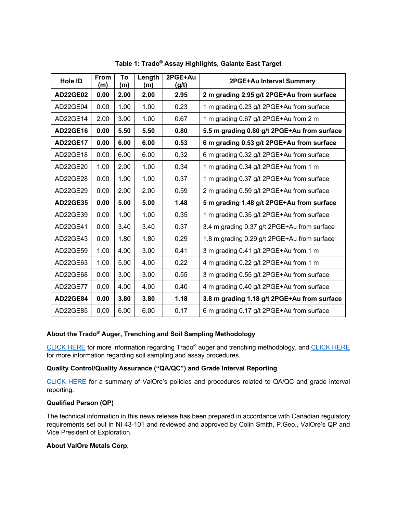| <b>Hole ID</b>  | <b>From</b><br>(m) | To<br>(m) | Length<br>(m) | 2PGE+Au<br>(g/t) | 2PGE+Au Interval Summary                    |
|-----------------|--------------------|-----------|---------------|------------------|---------------------------------------------|
| <b>AD22GE02</b> | 0.00               | 2.00      | 2.00          | 2.95             | 2 m grading 2.95 g/t 2PGE+Au from surface   |
| AD22GE04        | 0.00               | 1.00      | 1.00          | 0.23             | 1 m grading 0.23 g/t 2PGE+Au from surface   |
| AD22GE14        | 2.00               | 3.00      | 1.00          | 0.67             | 1 m grading 0.67 g/t 2PGE+Au from 2 m       |
| <b>AD22GE16</b> | 0.00               | 5.50      | 5.50          | 0.80             | 5.5 m grading 0.80 g/t 2PGE+Au from surface |
| <b>AD22GE17</b> | 0.00               | 6.00      | 6.00          | 0.53             | 6 m grading 0.53 g/t 2PGE+Au from surface   |
| AD22GE18        | 0.00               | 6.00      | 6.00          | 0.32             | 6 m grading 0.32 g/t 2PGE+Au from surface   |
| AD22GE20        | 1.00               | 2.00      | 1.00          | 0.34             | 1 m grading 0.34 g/t 2PGE+Au from 1 m       |
| AD22GE28        | 0.00               | 1.00      | 1.00          | 0.37             | 1 m grading 0.37 g/t 2PGE+Au from surface   |
| AD22GE29        | 0.00               | 2.00      | 2.00          | 0.59             | 2 m grading 0.59 g/t 2PGE+Au from surface   |
| <b>AD22GE35</b> | 0.00               | 5.00      | 5.00          | 1.48             | 5 m grading 1.48 g/t 2PGE+Au from surface   |
| AD22GE39        | 0.00               | 1.00      | 1.00          | 0.35             | 1 m grading 0.35 g/t 2PGE+Au from surface   |
| AD22GE41        | 0.00               | 3.40      | 3.40          | 0.37             | 3.4 m grading 0.37 g/t 2PGE+Au from surface |
| AD22GE43        | 0.00               | 1.80      | 1.80          | 0.29             | 1.8 m grading 0.29 g/t 2PGE+Au from surface |
| AD22GE59        | 1.00               | 4.00      | 3.00          | 0.41             | 3 m grading 0.41 g/t 2PGE+Au from 1 m       |
| AD22GE63        | 1.00               | 5.00      | 4.00          | 0.22             | 4 m grading 0.22 g/t 2PGE+Au from 1 m       |
| AD22GE68        | 0.00               | 3.00      | 3.00          | 0.55             | 3 m grading 0.55 g/t 2PGE+Au from surface   |
| AD22GE77        | 0.00               | 4.00      | 4.00          | 0.40             | 4 m grading 0.40 g/t 2PGE+Au from surface   |
| <b>AD22GE84</b> | 0.00               | 3.80      | 3.80          | 1.18             | 3.8 m grading 1.18 g/t 2PGE+Au from surface |
| AD22GE85        | 0.00               | 6.00      | 6.00          | 0.17             | 6 m grading 0.17 g/t 2PGE+Au from surface   |

**Table 1: Trado® Assay Highlights, Galante East Target**

# **About the Trado® Auger, Trenching and Soil Sampling Methodology**

CLICK HERE for more information regarding Trado® auger and trenching methodology, and CLICK HERE for more information regarding soil sampling and assay procedures.

## **Quality Control/Quality Assurance ("QA/QC") and Grade Interval Reporting**

CLICK HERE for a summary of ValOre's policies and procedures related to QA/QC and grade interval reporting.

### **Qualified Person (QP)**

The technical information in this news release has been prepared in accordance with Canadian regulatory requirements set out in NI 43-101 and reviewed and approved by Colin Smith, P.Geo., ValOre's QP and Vice President of Exploration.

#### **About ValOre Metals Corp.**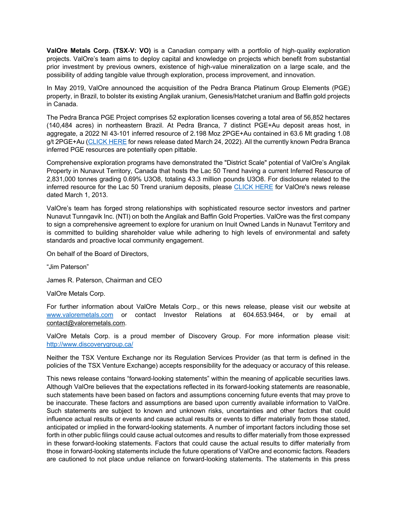**ValOre Metals Corp. (TSX**-**V: VO)** is a Canadian company with a portfolio of high-quality exploration projects. ValOre's team aims to deploy capital and knowledge on projects which benefit from substantial prior investment by previous owners, existence of high-value mineralization on a large scale, and the possibility of adding tangible value through exploration, process improvement, and innovation.

In May 2019, ValOre announced the acquisition of the Pedra Branca Platinum Group Elements (PGE) property, in Brazil, to bolster its existing Angilak uranium, Genesis/Hatchet uranium and Baffin gold projects in Canada.

The Pedra Branca PGE Project comprises 52 exploration licenses covering a total area of 56,852 hectares (140,484 acres) in northeastern Brazil. At Pedra Branca, 7 distinct PGE+Au deposit areas host, in aggregate, a 2022 NI 43-101 inferred resource of 2.198 Moz 2PGE+Au contained in 63.6 Mt grading 1.08 g/t 2PGE+Au (CLICK HERE for news release dated March 24, 2022). All the currently known Pedra Branca inferred PGE resources are potentially open pittable.

Comprehensive exploration programs have demonstrated the "District Scale" potential of ValOre's Angilak Property in Nunavut Territory, Canada that hosts the Lac 50 Trend having a current Inferred Resource of 2,831,000 tonnes grading 0.69% U3O8, totaling 43.3 million pounds U3O8. For disclosure related to the inferred resource for the Lac 50 Trend uranium deposits, please CLICK HERE for ValOre's news release dated March 1, 2013.

ValOre's team has forged strong relationships with sophisticated resource sector investors and partner Nunavut Tunngavik Inc. (NTI) on both the Angilak and Baffin Gold Properties. ValOre was the first company to sign a comprehensive agreement to explore for uranium on Inuit Owned Lands in Nunavut Territory and is committed to building shareholder value while adhering to high levels of environmental and safety standards and proactive local community engagement.

On behalf of the Board of Directors,

"Jim Paterson"

James R. Paterson, Chairman and CEO

ValOre Metals Corp.

For further information about ValOre Metals Corp., or this news release, please visit our website at www.valoremetals.com or contact Investor Relations at 604.653.9464, or by email at contact@valoremetals.com.

ValOre Metals Corp. is a proud member of Discovery Group. For more information please visit: http://www.discoverygroup.ca/

Neither the TSX Venture Exchange nor its Regulation Services Provider (as that term is defined in the policies of the TSX Venture Exchange) accepts responsibility for the adequacy or accuracy of this release.

This news release contains "forward-looking statements" within the meaning of applicable securities laws. Although ValOre believes that the expectations reflected in its forward-looking statements are reasonable, such statements have been based on factors and assumptions concerning future events that may prove to be inaccurate. These factors and assumptions are based upon currently available information to ValOre. Such statements are subject to known and unknown risks, uncertainties and other factors that could influence actual results or events and cause actual results or events to differ materially from those stated, anticipated or implied in the forward-looking statements. A number of important factors including those set forth in other public filings could cause actual outcomes and results to differ materially from those expressed in these forward-looking statements. Factors that could cause the actual results to differ materially from those in forward-looking statements include the future operations of ValOre and economic factors. Readers are cautioned to not place undue reliance on forward-looking statements. The statements in this press